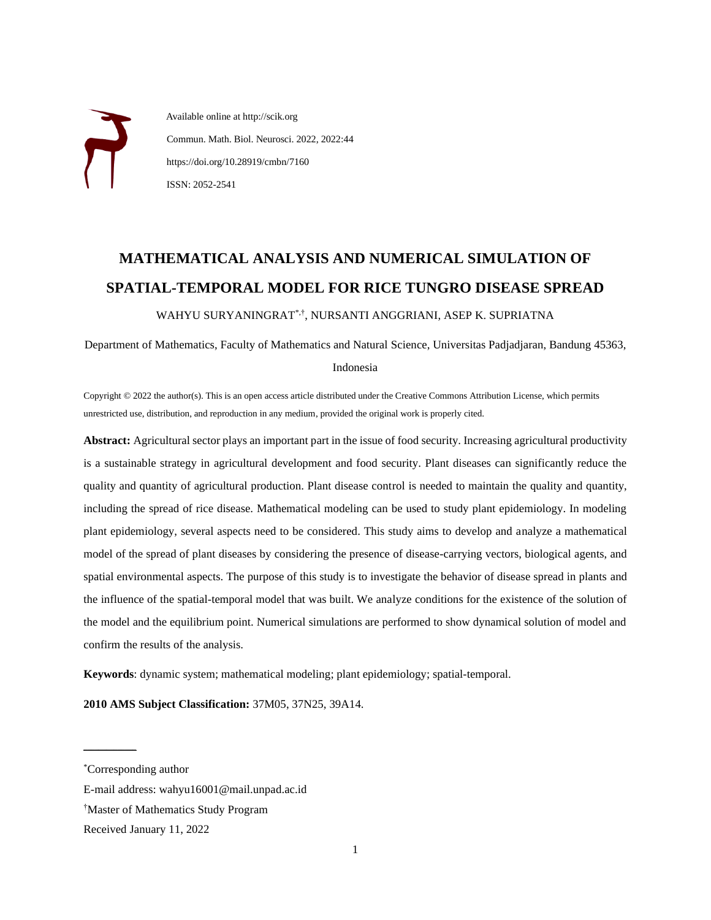Available online at http://scik.org Commun. Math. Biol. Neurosci. 2022, 2022:44 https://doi.org/10.28919/cmbn/7160 ISSN: 2052-2541

# **MATHEMATICAL ANALYSIS AND NUMERICAL SIMULATION OF SPATIAL-TEMPORAL MODEL FOR RICE TUNGRO DISEASE SPREAD**

WAHYU SURYANINGRAT\*,† , NURSANTI ANGGRIANI, ASEP K. SUPRIATNA

Department of Mathematics, Faculty of Mathematics and Natural Science, Universitas Padjadjaran, Bandung 45363,

#### Indonesia

Copyright © 2022 the author(s). This is an open access article distributed under the Creative Commons Attribution License, which permits unrestricted use, distribution, and reproduction in any medium, provided the original work is properly cited.

**Abstract:** Agricultural sector plays an important part in the issue of food security. Increasing agricultural productivity is a sustainable strategy in agricultural development and food security. Plant diseases can significantly reduce the quality and quantity of agricultural production. Plant disease control is needed to maintain the quality and quantity, including the spread of rice disease. Mathematical modeling can be used to study plant epidemiology. In modeling plant epidemiology, several aspects need to be considered. This study aims to develop and analyze a mathematical model of the spread of plant diseases by considering the presence of disease-carrying vectors, biological agents, and spatial environmental aspects. The purpose of this study is to investigate the behavior of disease spread in plants and the influence of the spatial-temporal model that was built. We analyze conditions for the existence of the solution of the model and the equilibrium point. Numerical simulations are performed to show dynamical solution of model and confirm the results of the analysis.

**Keywords**: dynamic system; mathematical modeling; plant epidemiology; spatial-temporal.

**2010 AMS Subject Classification:** 37M05, 37N25, 39A14.

 $\mathcal{L}$  and  $\mathcal{L}$  are the set of the set of the set of the set of the set of the set of the set of the set of the set of the set of the set of the set of the set of the set of the set of the set of the set of the set

<sup>\*</sup>Corresponding author

E-mail address: wahyu16001@mail.unpad.ac.id

<sup>†</sup>Master of Mathematics Study Program

Received January 11, 2022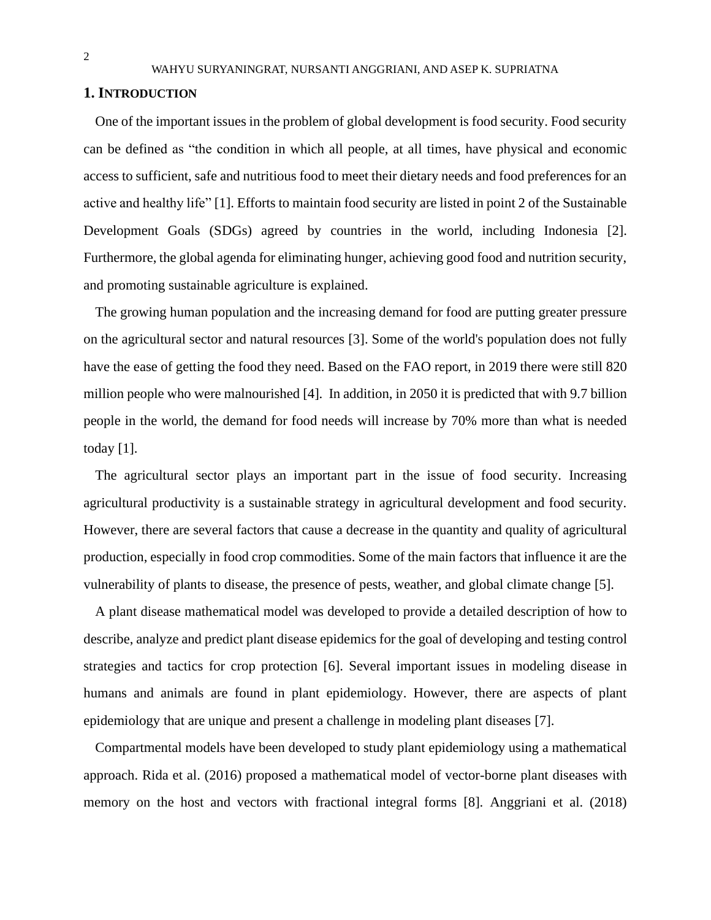### **1. INTRODUCTION**

One of the important issues in the problem of global development is food security. Food security can be defined as "the condition in which all people, at all times, have physical and economic access to sufficient, safe and nutritious food to meet their dietary needs and food preferences for an active and healthy life" [1]. Efforts to maintain food security are listed in point 2 of the Sustainable Development Goals (SDGs) agreed by countries in the world, including Indonesia [2]. Furthermore, the global agenda for eliminating hunger, achieving good food and nutrition security, and promoting sustainable agriculture is explained.

The growing human population and the increasing demand for food are putting greater pressure on the agricultural sector and natural resources [3]. Some of the world's population does not fully have the ease of getting the food they need. Based on the FAO report, in 2019 there were still 820 million people who were malnourished [4]. In addition, in 2050 it is predicted that with 9.7 billion people in the world, the demand for food needs will increase by 70% more than what is needed today [1].

The agricultural sector plays an important part in the issue of food security. Increasing agricultural productivity is a sustainable strategy in agricultural development and food security. However, there are several factors that cause a decrease in the quantity and quality of agricultural production, especially in food crop commodities. Some of the main factors that influence it are the vulnerability of plants to disease, the presence of pests, weather, and global climate change [5].

A plant disease mathematical model was developed to provide a detailed description of how to describe, analyze and predict plant disease epidemics for the goal of developing and testing control strategies and tactics for crop protection [6]. Several important issues in modeling disease in humans and animals are found in plant epidemiology. However, there are aspects of plant epidemiology that are unique and present a challenge in modeling plant diseases [7].

Compartmental models have been developed to study plant epidemiology using a mathematical approach. Rida et al. (2016) proposed a mathematical model of vector-borne plant diseases with memory on the host and vectors with fractional integral forms [8]. Anggriani et al. (2018)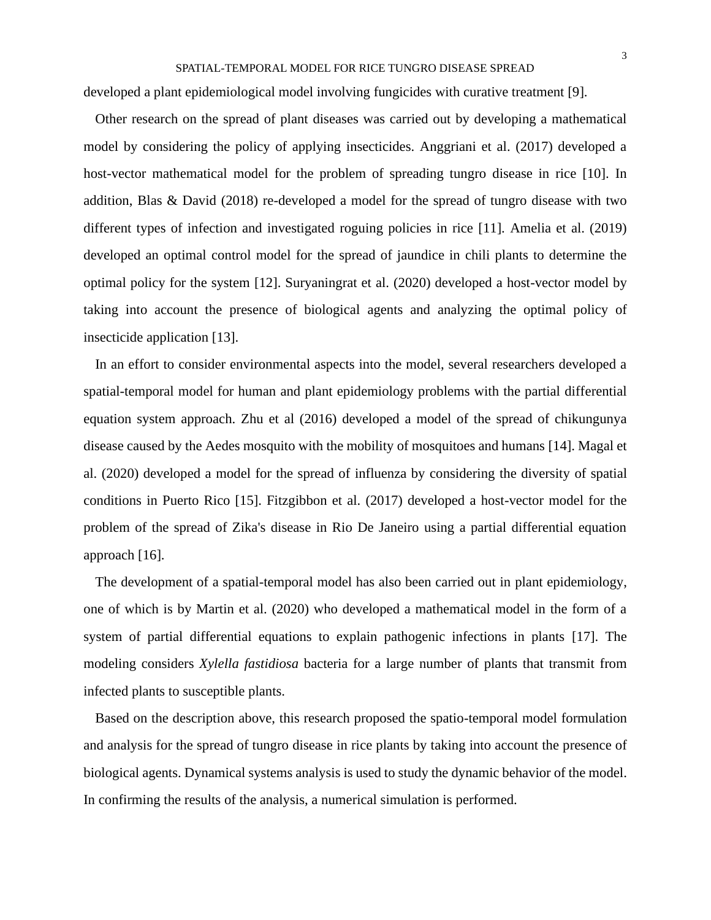developed a plant epidemiological model involving fungicides with curative treatment [9].

Other research on the spread of plant diseases was carried out by developing a mathematical model by considering the policy of applying insecticides. Anggriani et al. (2017) developed a host-vector mathematical model for the problem of spreading tungro disease in rice [10]. In addition, Blas & David (2018) re-developed a model for the spread of tungro disease with two different types of infection and investigated roguing policies in rice [11]. Amelia et al. (2019) developed an optimal control model for the spread of jaundice in chili plants to determine the optimal policy for the system [12]. Suryaningrat et al. (2020) developed a host-vector model by taking into account the presence of biological agents and analyzing the optimal policy of insecticide application [13].

In an effort to consider environmental aspects into the model, several researchers developed a spatial-temporal model for human and plant epidemiology problems with the partial differential equation system approach. Zhu et al (2016) developed a model of the spread of chikungunya disease caused by the Aedes mosquito with the mobility of mosquitoes and humans [14]. Magal et al. (2020) developed a model for the spread of influenza by considering the diversity of spatial conditions in Puerto Rico [15]. Fitzgibbon et al. (2017) developed a host-vector model for the problem of the spread of Zika's disease in Rio De Janeiro using a partial differential equation approach [16].

The development of a spatial-temporal model has also been carried out in plant epidemiology, one of which is by Martin et al. (2020) who developed a mathematical model in the form of a system of partial differential equations to explain pathogenic infections in plants [17]. The modeling considers *Xylella fastidiosa* bacteria for a large number of plants that transmit from infected plants to susceptible plants.

Based on the description above, this research proposed the spatio-temporal model formulation and analysis for the spread of tungro disease in rice plants by taking into account the presence of biological agents. Dynamical systems analysis is used to study the dynamic behavior of the model. In confirming the results of the analysis, a numerical simulation is performed.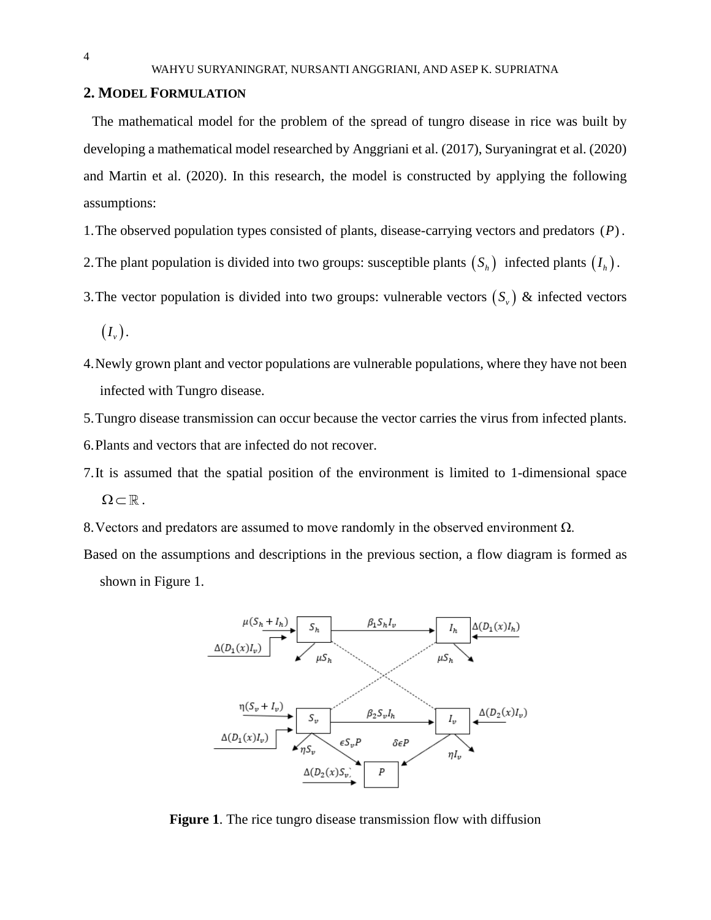## **2. MODEL FORMULATION**

The mathematical model for the problem of the spread of tungro disease in rice was built by developing a mathematical model researched by Anggriani et al. (2017), Suryaningrat et al. (2020) and Martin et al. (2020). In this research, the model is constructed by applying the following assumptions:

1. The observed population types consisted of plants, disease-carrying vectors and predators (P).

2. The plant population is divided into two groups: susceptible plants  $(S_h)$  infected plants  $(I_h)$ .

- 3. The vector population is divided into two groups: vulnerable vectors  $(S_v)$  & infected vectors
	- $\left(I_{\scriptscriptstyle v}\right)$ .
- 4.Newly grown plant and vector populations are vulnerable populations, where they have not been infected with Tungro disease.
- 5.Tungro disease transmission can occur because the vector carries the virus from infected plants.

6.Plants and vectors that are infected do not recover.

- 7.It is assumed that the spatial position of the environment is limited to 1-dimensional space  $\Omega \subset \mathbb{R}$ .
- 8.Vectors and predators are assumed to move randomly in the observed environment Ω.
- Based on the assumptions and descriptions in the previous section, a flow diagram is formed as shown in Figure 1.



**Figure 1**. The rice tungro disease transmission flow with diffusion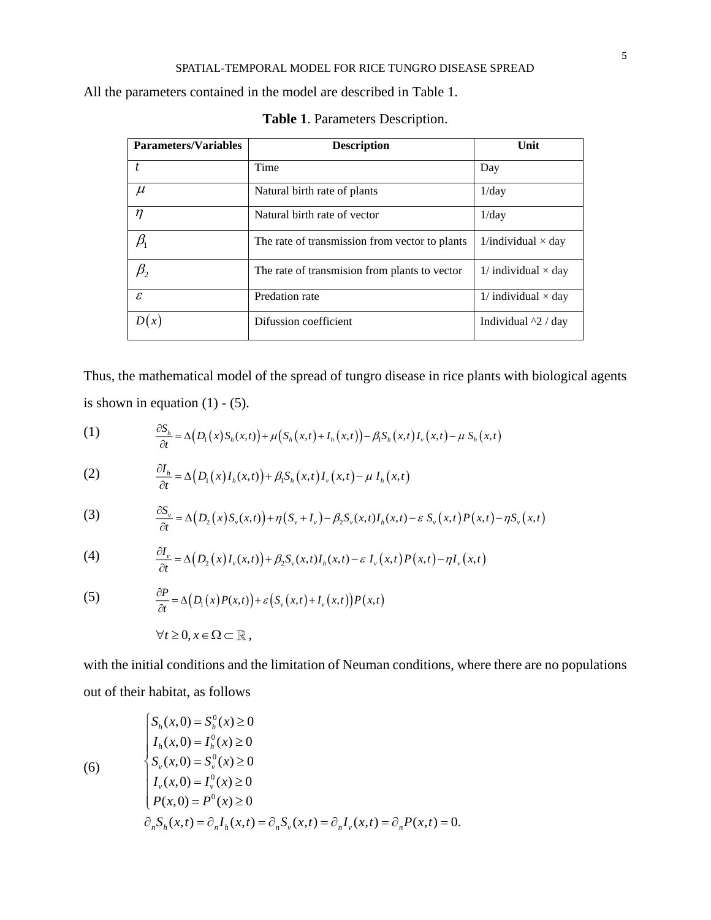All the parameters contained in the model are described in Table 1.

| <b>Parameters/Variables</b> | <b>Description</b>                             | Unit                         |
|-----------------------------|------------------------------------------------|------------------------------|
|                             | Time                                           | Day                          |
| $\mu$                       | Natural birth rate of plants                   | 1/day                        |
| $\eta$                      | Natural birth rate of vector                   | 1/dav                        |
| $\beta_{\text{\tiny{l}}}$   | The rate of transmission from vector to plants | 1/individual $\times$ day    |
| $\beta_{_2}$                | The rate of transmision from plants to vector  | $1/$ individual $\times$ day |
| $\mathcal{E}$               | Predation rate                                 | $1/$ individual $\times$ day |
| (x)                         | Difussion coefficient                          | Individual $^{4}$ 2 / day    |

**Table 1**. Parameters Description.

Thus, the mathematical model of the spread of tungro disease in rice plants with biological agents is shown in equation  $(1)$  -  $(5)$ .

(1) 
$$
\frac{\partial S_h}{\partial t} = \Delta(D_1(x)S_h(x,t)) + \mu(S_h(x,t) + I_h(x,t)) - \beta_1 S_h(x,t)I_v(x,t) - \mu S_h(x,t)
$$

(2) 
$$
\frac{\partial I_h}{\partial t} = \Delta \big( D_1(x) I_h(x,t) \big) + \beta_1 S_h(x,t) I_v(x,t) - \mu I_h(x,t)
$$

(3) 
$$
\frac{\partial S_{\nu}}{\partial t} = \Delta \big( D_2(x) S_{\nu}(x, t) \big) + \eta \big( S_{\nu} + I_{\nu} \big) - \beta_2 S_{\nu}(x, t) I_h(x, t) - \varepsilon S_{\nu}(x, t) P(x, t) - \eta S_{\nu}(x, t)
$$

(4) 
$$
\frac{\partial I_{\nu}}{\partial t} = \Delta \big(D_2(x)I_{\nu}(x,t)\big) + \beta_2 S_{\nu}(x,t)I_h(x,t) - \varepsilon I_{\nu}(x,t)P(x,t) - \eta I_{\nu}(x,t)
$$

(5) 
$$
\frac{\partial P}{\partial t} = \Delta \big( D_1(x) P(x,t) \big) + \varepsilon \big( S_v(x,t) + I_v(x,t) \big) P(x,t)
$$

$$
\forall t \ge 0, x \in \Omega \subset \mathbb{R},
$$

(6)

with the initial conditions and the limitation of Neuman conditions, where there are no populations out of their habitat, as follows

$$
\begin{cases}\nS_h(x,0) = S_h^0(x) \ge 0 \\
I_h(x,0) = I_h^0(x) \ge 0 \\
S_v(x,0) = S_v^0(x) \ge 0 \\
I_v(x,0) = I_v^0(x) \ge 0 \\
P(x,0) = P^0(x) \ge 0 \\
\partial_n S_h(x,t) = \partial_n I_h(x,t) = \partial_n S_v(x,t) = \partial_n I_v(x,t) = \partial_n P(x,t) = 0.\n\end{cases}
$$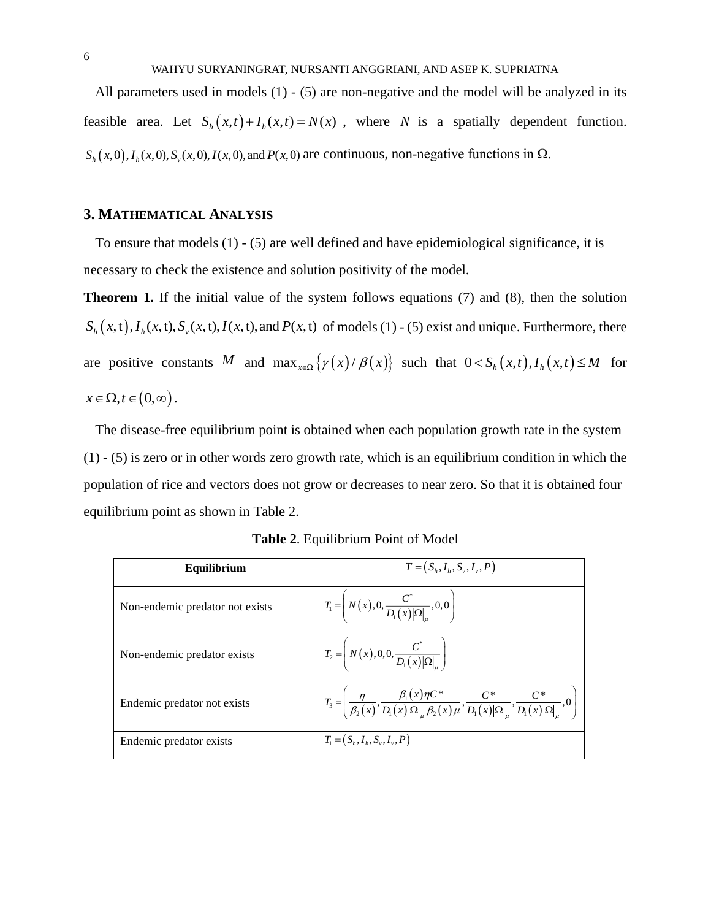All parameters used in models  $(1)$  -  $(5)$  are non-negative and the model will be analyzed in its feasible area. Let  $S_h(x,t) + I_h(x,t) = N(x)$ , where N is a spatially dependent function.  $S_h(x,0), I_h(x,0), S_v(x,0), I(x,0)$ , and  $P(x,0)$  are continuous, non-negative functions in  $\Omega$ .

# **3. MATHEMATICAL ANALYSIS**

To ensure that models (1) - (5) are well defined and have epidemiological significance, it is necessary to check the existence and solution positivity of the model.

**Theorem 1.** If the initial value of the system follows equations (7) and (8), then the solution  $S_h(x,t)$ ,  $I_h(x,t)$ ,  $S_v(x,t)$ ,  $I(x,t)$ , and  $P(x,t)$  of models (1) - (5) exist and unique. Furthermore, there are positive constants M and  $\max_{x \in \Omega} \{ \gamma(x)/\beta(x) \}$  such that  $0 < S_h(x,t)$ ,  $I_h(x,t) \le M$  for  $x \in \Omega, t \in (0, \infty)$ .

The disease-free equilibrium point is obtained when each population growth rate in the system (1) - (5) is zero or in other words zero growth rate, which is an equilibrium condition in which the population of rice and vectors does not grow or decreases to near zero. So that it is obtained four equilibrium point as shown in Table 2.

| Equilibrium                     | $T = (S_h, I_h, S_v, I_v, P)$                                                                                                                                                      |
|---------------------------------|------------------------------------------------------------------------------------------------------------------------------------------------------------------------------------|
| Non-endemic predator not exists | $T_1 = N(x), 0, \frac{C}{D_1(x) \Omega }, 0, 0$                                                                                                                                    |
| Non-endemic predator exists     | $T_2 = N(x), 0, 0, \frac{C^*}{D_1(x) \Omega }$                                                                                                                                     |
| Endemic predator not exists     | $T_3 = \left(\frac{\eta}{\beta_2(x)}, \frac{\beta_1(x)\eta C^*}{D_1(x) \Omega _{\mu} \beta_2(x)\mu}, \frac{C^*}{D_1(x) \Omega _{\mu}}, \frac{C^*}{D_1(x) \Omega _{\mu}}, 0\right)$ |
| Endemic predator exists         | $T_1 = (S_h, I_h, S_v, I_v, P)$                                                                                                                                                    |

**Table 2**. Equilibrium Point of Model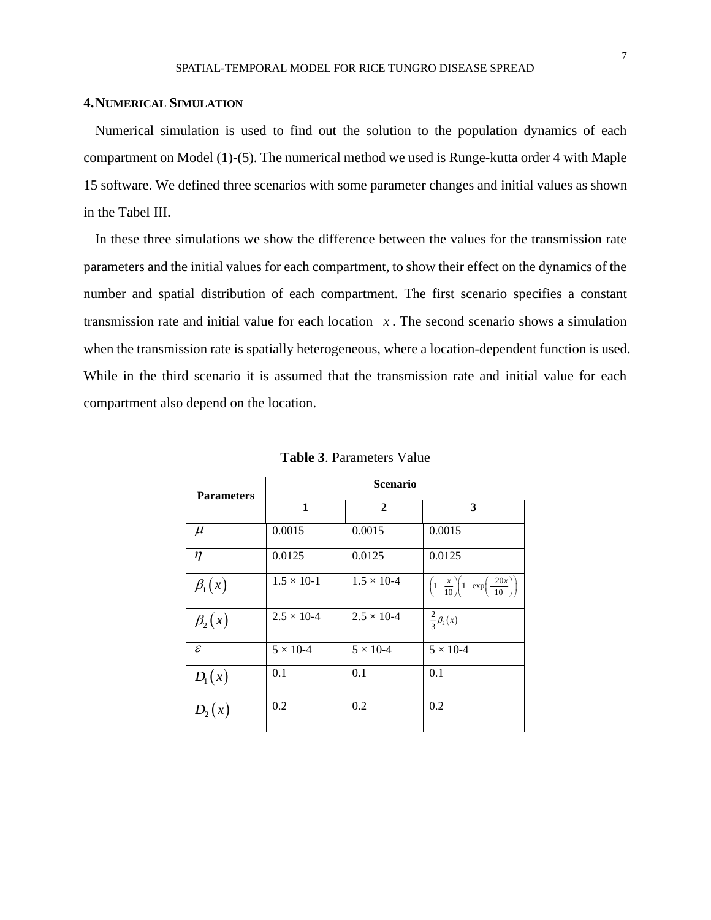### **4.NUMERICAL SIMULATION**

Numerical simulation is used to find out the solution to the population dynamics of each compartment on Model (1)-(5). The numerical method we used is Runge-kutta order 4 with Maple 15 software. We defined three scenarios with some parameter changes and initial values as shown in the Tabel III.

In these three simulations we show the difference between the values for the transmission rate parameters and the initial values for each compartment, to show their effect on the dynamics of the number and spatial distribution of each compartment. The first scenario specifies a constant transmission rate and initial value for each location  $x$ . The second scenario shows a simulation when the transmission rate is spatially heterogeneous, where a location-dependent function is used. While in the third scenario it is assumed that the transmission rate and initial value for each compartment also depend on the location.

| <b>Parameters</b> | <b>Scenario</b>      |                      |                                                                              |  |
|-------------------|----------------------|----------------------|------------------------------------------------------------------------------|--|
|                   | 1                    | $\mathbf{2}$         | 3                                                                            |  |
| $\mu$             | 0.0015               | 0.0015               | 0.0015                                                                       |  |
| $\eta$            | 0.0125               | 0.0125               | 0.0125                                                                       |  |
| $\beta_1(x)$      | $1.5 \times 10 - 1$  | $1.5 \times 10^{-4}$ | $\left(1-\frac{x}{10}\right)\left(1-\exp\left(\frac{-20x}{10}\right)\right)$ |  |
| $\beta_2(x)$      | $2.5 \times 10^{-4}$ | $2.5 \times 10^{-4}$ | $\frac{2}{3}\beta_2(x)$                                                      |  |
| $\mathcal{E}$     | $5 \times 10-4$      | $5 \times 10-4$      | $5 \times 10-4$                                                              |  |
| $D_1(x)$          | 0.1                  | 0.1                  | 0.1                                                                          |  |
| $D_2(x)$          | 0.2                  | 0.2                  | 0.2                                                                          |  |

**Table 3**. Parameters Value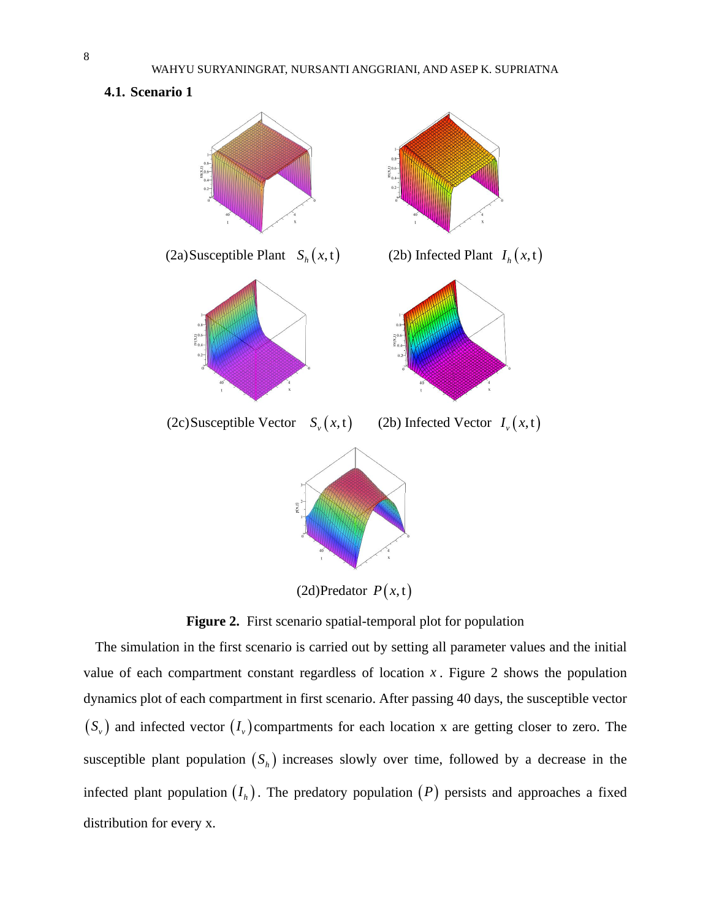**4.1. Scenario 1**



**Figure 2.** First scenario spatial-temporal plot for population

The simulation in the first scenario is carried out by setting all parameter values and the initial value of each compartment constant regardless of location  $x$ . Figure 2 shows the population dynamics plot of each compartment in first scenario. After passing 40 days, the susceptible vector  $(S_v)$  and infected vector  $(I_v)$  compartments for each location x are getting closer to zero. The susceptible plant population  $(S_h)$  increases slowly over time, followed by a decrease in the infected plant population  $(I_h)$ . The predatory population  $(P)$  persists and approaches a fixed distribution for every x.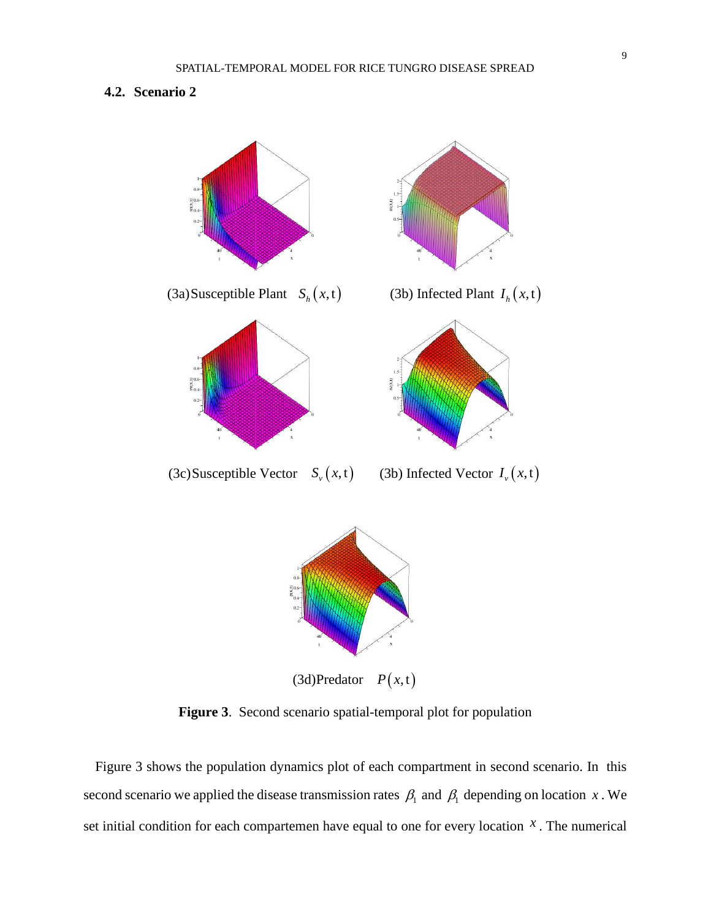# **4.2. Scenario 2**



**Figure 3**. Second scenario spatial-temporal plot for population

Figure 3 shows the population dynamics plot of each compartment in second scenario. In this second scenario we applied the disease transmission rates  $\beta_1$  and  $\beta_1$  depending on location x. We set initial condition for each compartemen have equal to one for every location  $x$ . The numerical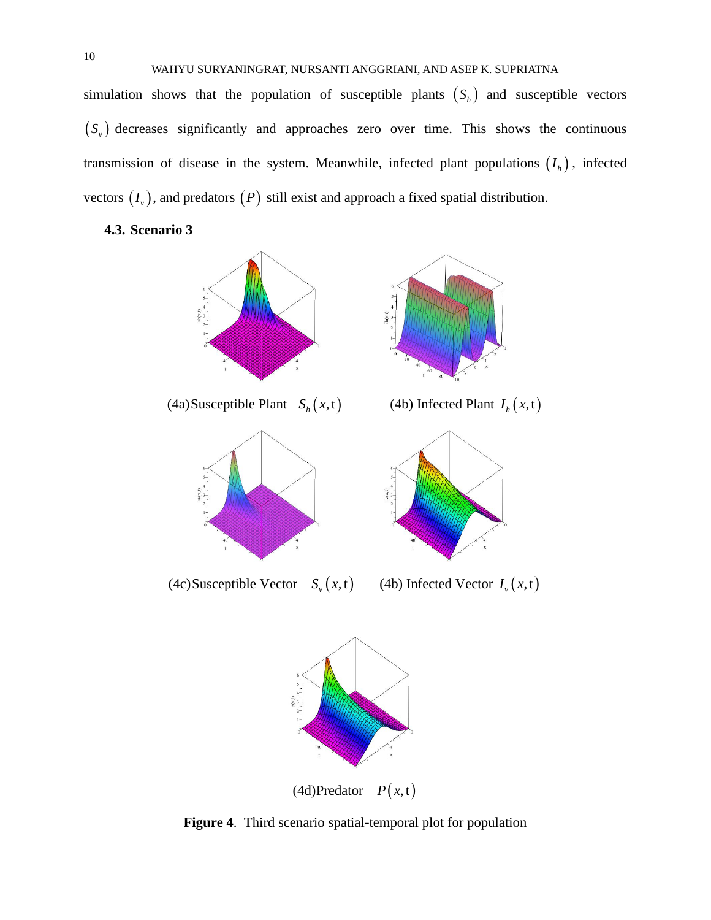WAHYU SURYANINGRAT, NURSANTI ANGGRIANI, AND ASEP K. SUPRIATNA

simulation shows that the population of susceptible plants  $(S_h)$  and susceptible vectors  $(S<sub>v</sub>)$  decreases significantly and approaches zero over time. This shows the continuous transmission of disease in the system. Meanwhile, infected plant populations  $(I_h)$ , infected vectors  $(I_v)$ , and predators  $(P)$  still exist and approach a fixed spatial distribution.

**4.3. Scenario 3**



 $P(x,t)$ 

**Figure 4**. Third scenario spatial-temporal plot for population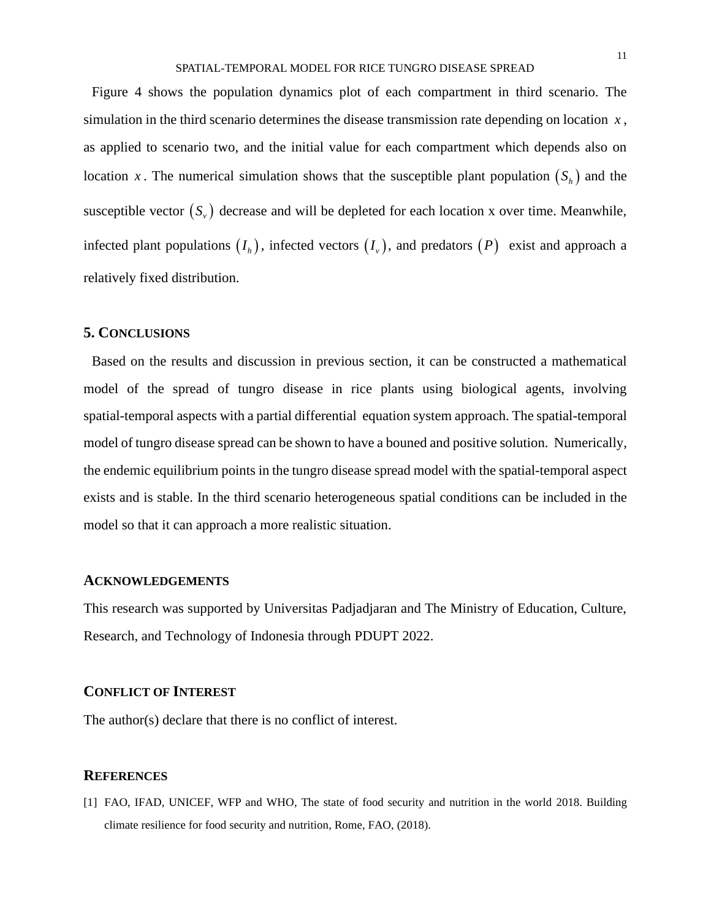Figure 4 shows the population dynamics plot of each compartment in third scenario. The simulation in the third scenario determines the disease transmission rate depending on location *<sup>x</sup>* , as applied to scenario two, and the initial value for each compartment which depends also on location x. The numerical simulation shows that the susceptible plant population  $(S_h)$  and the susceptible vector  $(S_v)$  decrease and will be depleted for each location x over time. Meanwhile, infected plant populations  $(I_h)$ , infected vectors  $(I_v)$ , and predators  $(P)$  exist and approach a relatively fixed distribution.

### **5. CONCLUSIONS**

Based on the results and discussion in previous section, it can be constructed a mathematical model of the spread of tungro disease in rice plants using biological agents, involving spatial-temporal aspects with a partial differential equation system approach. The spatial-temporal model of tungro disease spread can be shown to have a bouned and positive solution. Numerically, the endemic equilibrium points in the tungro disease spread model with the spatial-temporal aspect exists and is stable. In the third scenario heterogeneous spatial conditions can be included in the model so that it can approach a more realistic situation.

### **ACKNOWLEDGEMENTS**

This research was supported by Universitas Padjadjaran and The Ministry of Education, Culture, Research, and Technology of Indonesia through PDUPT 2022.

### **CONFLICT OF INTEREST**

The author(s) declare that there is no conflict of interest.

### **REFERENCES**

[1] FAO, IFAD, UNICEF, WFP and WHO, The state of food security and nutrition in the world 2018. Building climate resilience for food security and nutrition, Rome, FAO, (2018).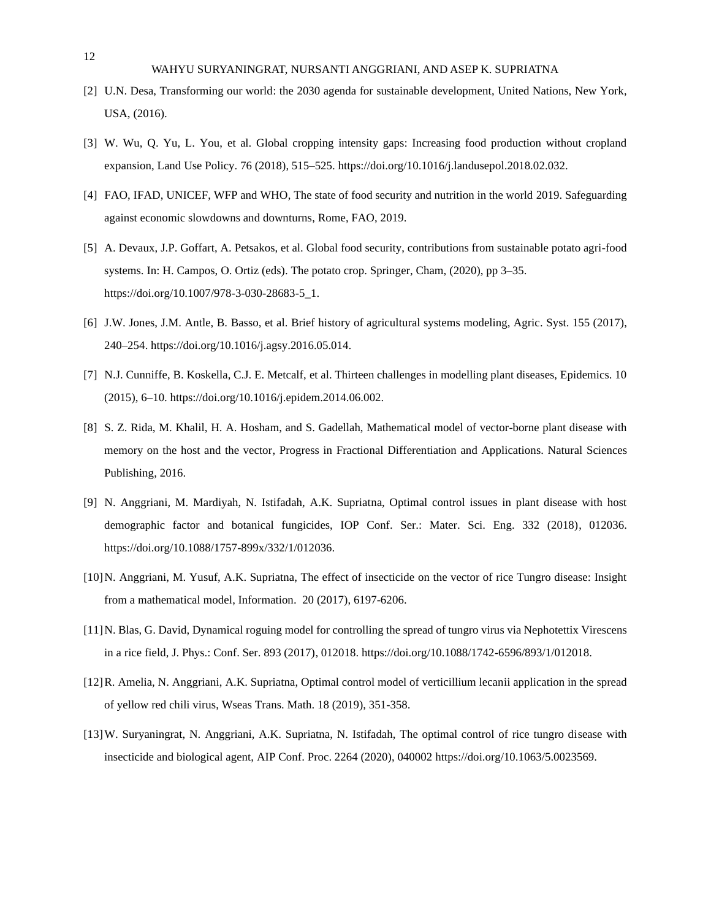### WAHYU SURYANINGRAT, NURSANTI ANGGRIANI, AND ASEP K. SUPRIATNA

- [2] U.N. Desa, Transforming our world: the 2030 agenda for sustainable development, United Nations, New York, USA, (2016).
- [3] W. Wu, Q. Yu, L. You, et al. Global cropping intensity gaps: Increasing food production without cropland expansion, Land Use Policy. 76 (2018), 515–525. https://doi.org/10.1016/j.landusepol.2018.02.032.
- [4] FAO, IFAD, UNICEF, WFP and WHO, The state of food security and nutrition in the world 2019. Safeguarding against economic slowdowns and downturns, Rome, FAO, 2019.
- [5] A. Devaux, J.P. Goffart, A. Petsakos, et al. Global food security, contributions from sustainable potato agri-food systems. In: H. Campos, O. Ortiz (eds). The potato crop. Springer, Cham, (2020), pp 3–35. https://doi.org/10.1007/978-3-030-28683-5\_1.
- [6] J.W. Jones, J.M. Antle, B. Basso, et al. Brief history of agricultural systems modeling, Agric. Syst. 155 (2017), 240–254. https://doi.org/10.1016/j.agsy.2016.05.014.
- [7] N.J. Cunniffe, B. Koskella, C.J. E. Metcalf, et al. Thirteen challenges in modelling plant diseases, Epidemics. 10 (2015), 6–10. https://doi.org/10.1016/j.epidem.2014.06.002.
- [8] S. Z. Rida, M. Khalil, H. A. Hosham, and S. Gadellah, Mathematical model of vector-borne plant disease with memory on the host and the vector, Progress in Fractional Differentiation and Applications. Natural Sciences Publishing, 2016.
- [9] N. Anggriani, M. Mardiyah, N. Istifadah, A.K. Supriatna, Optimal control issues in plant disease with host demographic factor and botanical fungicides, IOP Conf. Ser.: Mater. Sci. Eng. 332 (2018), 012036. https://doi.org/10.1088/1757-899x/332/1/012036.
- [10]N. Anggriani, M. Yusuf, A.K. Supriatna, The effect of insecticide on the vector of rice Tungro disease: Insight from a mathematical model, Information. 20 (2017), 6197-6206.
- [11]N. Blas, G. David, Dynamical roguing model for controlling the spread of tungro virus via Nephotettix Virescens in a rice field, J. Phys.: Conf. Ser. 893 (2017), 012018. https://doi.org/10.1088/1742-6596/893/1/012018.
- [12]R. Amelia, N. Anggriani, A.K. Supriatna, Optimal control model of verticillium lecanii application in the spread of yellow red chili virus, Wseas Trans. Math. 18 (2019), 351-358.
- [13]W. Suryaningrat, N. Anggriani, A.K. Supriatna, N. Istifadah, The optimal control of rice tungro disease with insecticide and biological agent, AIP Conf. Proc. 2264 (2020), 040002 https://doi.org/10.1063/5.0023569.